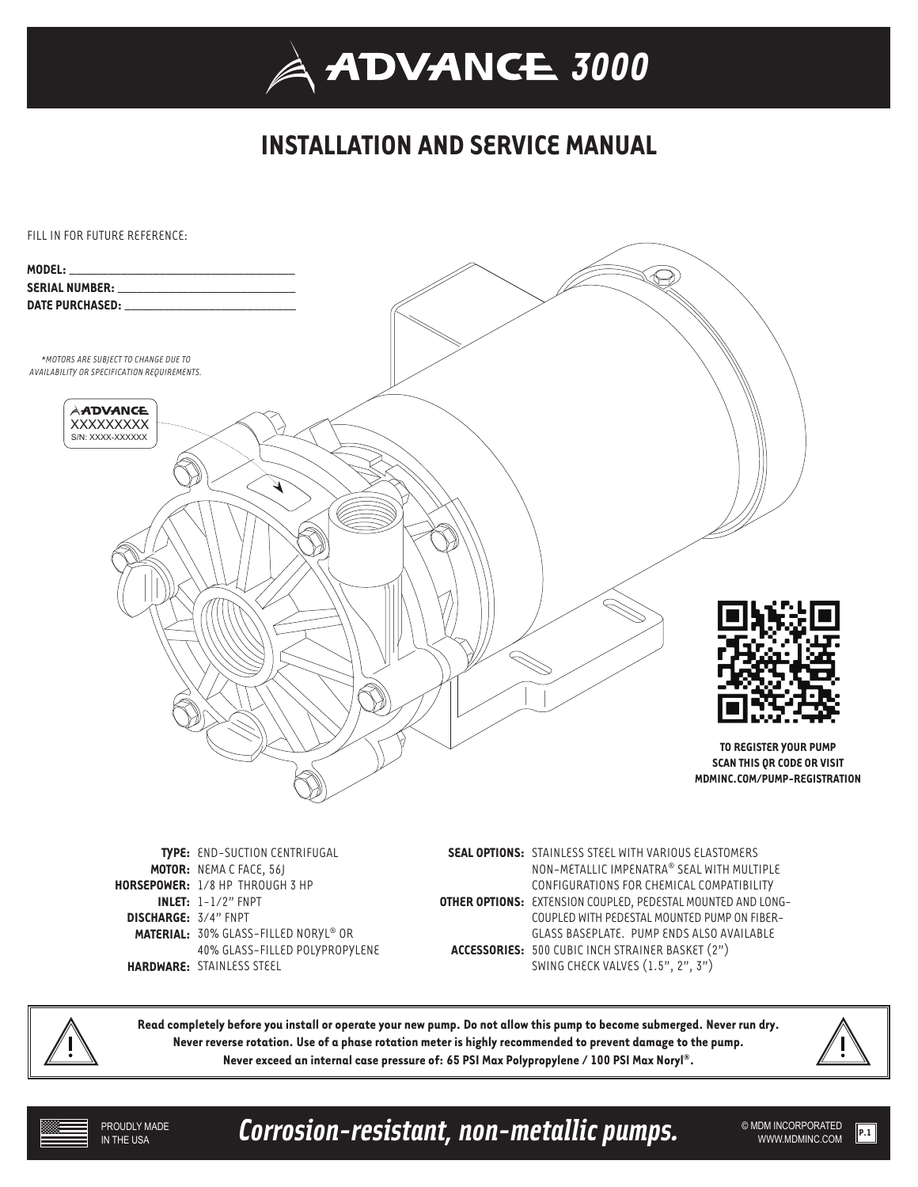## **INSTALLATION AND SERVICE MANUAL**



**TYPE:** END-SUCTION CENTRIFUGAL **MOTOR:** NEMA C FACE, 56J **HORSEPOWER:** 1/8 HP THROUGH 3 HP **INLET:** 1-1/2" FNPT **DISCHARGE:** 3/4" FNPT **MATERIAL:** 30% GLASS-FILLED NORYL® OR 40% GLASS-FILLED POLYPROPYLENE **HARDWARE:** STAINLESS STEEL

**SEAL OPTIONS:** STAINLESS STEEL WITH VARIOUS ELASTOMERS NON-METALLIC IMPENATRA® SEAL WITH MULTIPLE CONFIGURATIONS FOR CHEMICAL COMPATIBILITY **OTHER OPTIONS:** EXTENSION COUPLED, PEDESTAL MOUNTED AND LONG-COUPLED WITH PEDESTAL MOUNTED PUMP ON FIBER-GLASS BASEPLATE. PUMP ENDS ALSO AVAILABLE **ACCESSORIES:** 500 CUBIC INCH STRAINER BASKET (2") SWING CHECK VALVES (1.5", 2", 3")



**Read completely before you install or operate your new pump. Do not allow this pump to become submerged. Never run dry. Never reverse rotation. Use of a phase rotation meter is highly recommended to prevent damage to the pump. Never exceed an internal case pressure of: 65 PSI Max Polypropylene / 100 PSI Max Noryl®.** 



Corrosion-resistant, non-metallic pumps. WELD MOM INCORPORATED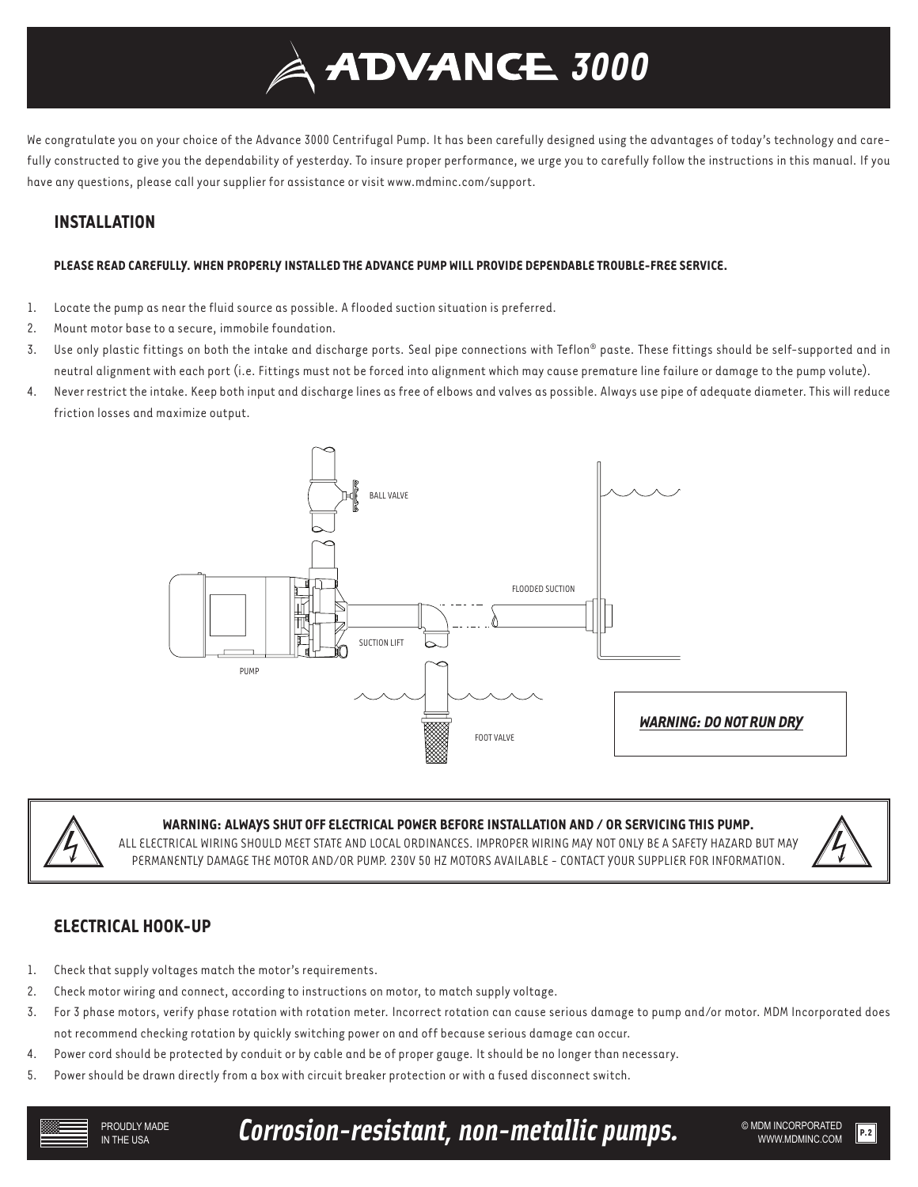# *3000*

We congratulate you on your choice of the Advance 3000 Centrifugal Pump. It has been carefully designed using the advantages of today's technology and carefully constructed to give you the dependability of yesterday. To insure proper performance, we urge you to carefully follow the instructions in this manual. If you have any questions, please call your supplier for assistance or visit www.mdminc.com/support.

## **INSTALLATION**

### **PLEASE READ CAREFULLY. WHEN PROPERLY INSTALLED THE ADVANCE PUMP WILL PROVIDE DEPENDABLE TROUBLE-FREE SERVICE.**

- 1. Locate the pump as near the fluid source as possible. A flooded suction situation is preferred.
- 2. Mount motor base to a secure, immobile foundation.
- 3. Use only plastic fittings on both the intake and discharge ports. Seal pipe connections with Teflon® paste. These fittings should be self-supported and in neutral alignment with each port (i.e. Fittings must not be forced into alignment which may cause premature line failure or damage to the pump volute).
- 4. Never restrict the intake. Keep both input and discharge lines as free of elbows and valves as possible. Always use pipe of adequate diameter. This will reduce friction losses and maximize output.





## **WARNING: ALWAYS SHUT OFF ELECTRICAL POWER BEFORE INSTALLATION AND / OR SERVICING THIS PUMP.**

ALL ELECTRICAL WIRING SHOULD MEET STATE AND LOCAL ORDINANCES. IMPROPER WIRING MAY NOT ONLY BE A SAFETY HAZARD BUT MAY PERMANENTLY DAMAGE THE MOTOR AND/OR PUMP. 230V 50 HZ MOTORS AVAILABLE - CONTACT YOUR SUPPLIER FOR INFORMATION.



## **ELECTRICAL HOOK-UP**

- 1. Check that supply voltages match the motor's requirements.
- 2. Check motor wiring and connect, according to instructions on motor, to match supply voltage.
- 3. For 3 phase motors, verify phase rotation with rotation meter. Incorrect rotation can cause serious damage to pump and/or motor. MDM Incorporated does not recommend checking rotation by quickly switching power on and off because serious damage can occur.
- 4. Power cord should be protected by conduit or by cable and be of proper gauge. It should be no longer than necessary.
- 5. Power should be drawn directly from a box with circuit breaker protection or with a fused disconnect switch.

Corrosion-resistant, non-metallic pumps. WE ADM INCORPORATED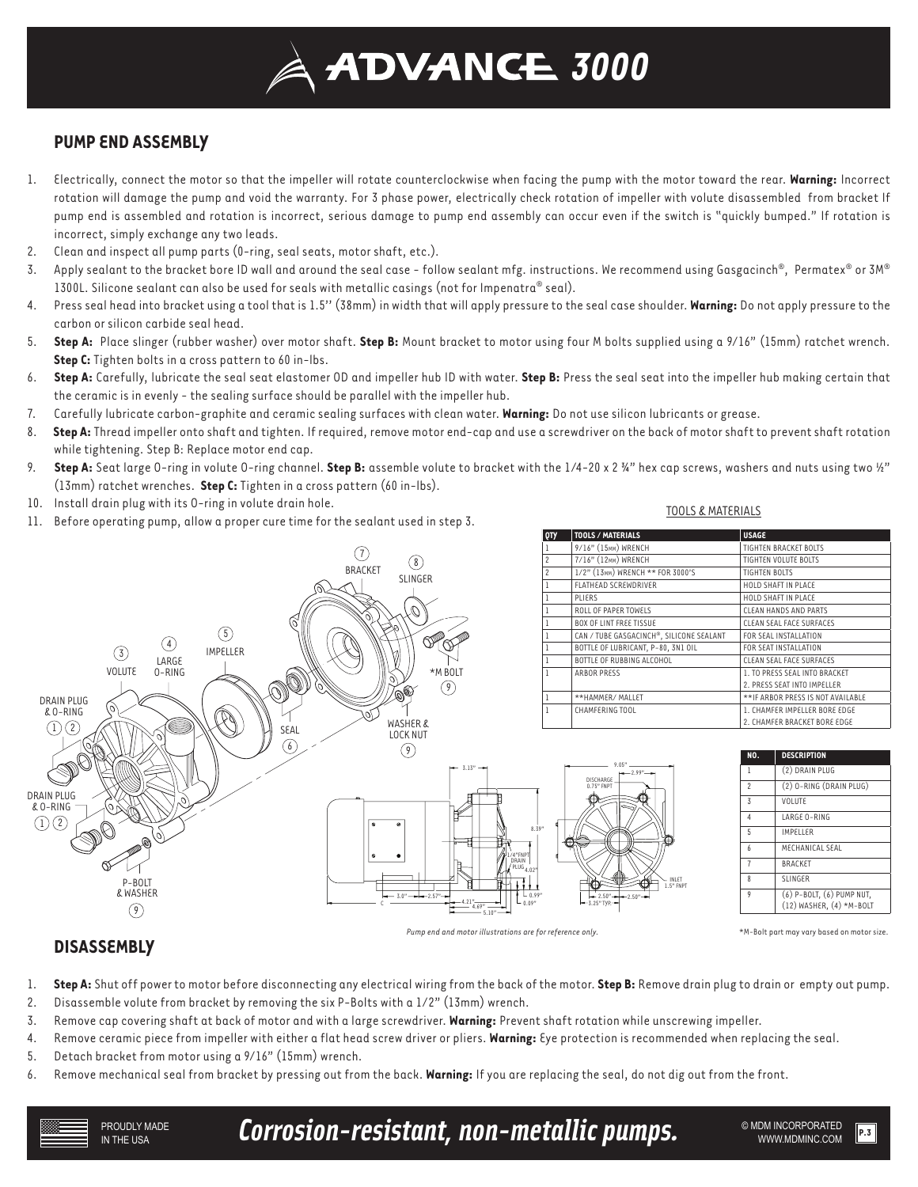## **ADVANCE 3000**

## **PUMP END ASSEMBLY**

- 1. Electrically, connect the motor so that the impeller will rotate counterclockwise when facing the pump with the motor toward the rear. **Warning:** Incorrect rotation will damage the pump and void the warranty. For 3 phase power, electrically check rotation of impeller with volute disassembled from bracket If pump end is assembled and rotation is incorrect, serious damage to pump end assembly can occur even if the switch is "quickly bumped." If rotation is incorrect, simply exchange any two leads.
- 2. Clean and inspect all pump parts (0-ring, seal seats, motor shaft, etc.).
- 3. Apply sealant to the bracket bore ID wall and around the seal case follow sealant mfg. instructions. We recommend using Gasgacinch®, Permatex® or 3M® 1300L. Silicone sealant can also be used for seals with metallic casings (not for Impenatra® seal).
- 4. Press seal head into bracket using a tool that is 1.5'' (38mm) in width that will apply pressure to the seal case shoulder. **Warning:** Do not apply pressure to the carbon or silicon carbide seal head.
- 5. **Step A:** Place slinger (rubber washer) over motor shaft. **Step B:** Mount bracket to motor using four M bolts supplied using a 9/16" (15mm) ratchet wrench. **Step C:** Tighten bolts in a cross pattern to 60 in-lbs.
- 6. **Step A:** Carefully, lubricate the seal seat elastomer OD and impeller hub ID with water. **Step B:** Press the seal seat into the impeller hub making certain that the ceramic is in evenly - the sealing surface should be parallel with the impeller hub.
- 7. Carefully lubricate carbon-graphite and ceramic sealing surfaces with clean water. **Warning:** Do not use silicon lubricants or grease.
- 8. **Step A:** Thread impeller onto shaft and tighten. If required, remove motor end-cap and use a screwdriver on the back of motor shaft to prevent shaft rotation while tightening. Step B: Replace motor end cap.
- 9. **Step A:** Seat large O-ring in volute O-ring channel. **Step B:** assemble volute to bracket with the 1/4-20 x 2 ¾" hex cap screws, washers and nuts using two ½" (13mm) ratchet wrenches. **Step C:** Tighten in a cross pattern (60 in-lbs).
- 10. Install drain plug with its O-ring in volute drain hole.
- 11. Before operating pump, allow a proper cure time for the sealant used in step 3.

#### TOOLS & MATERIALS



## **DISASSEMBLY**

- 1. **Step A:** Shut off power to motor before disconnecting any electrical wiring from the back of the motor. **Step B:** Remove drain plug to drain or empty out pump.
- 2. Disassemble volute from bracket by removing the six P-Bolts with a 1/2" (13mm) wrench.
- 3. Remove cap covering shaft at back of motor and with a large screwdriver. **Warning:** Prevent shaft rotation while unscrewing impeller.
- 4. Remove ceramic piece from impeller with either a flat head screw driver or pliers. **Warning:** Eye protection is recommended when replacing the seal.
- 5. Detach bracket from motor using a 9/16" (15mm) wrench.
- 6. Remove mechanical seal from bracket by pressing out from the back. **Warning:** If you are replacing the seal, do not dig out from the front.